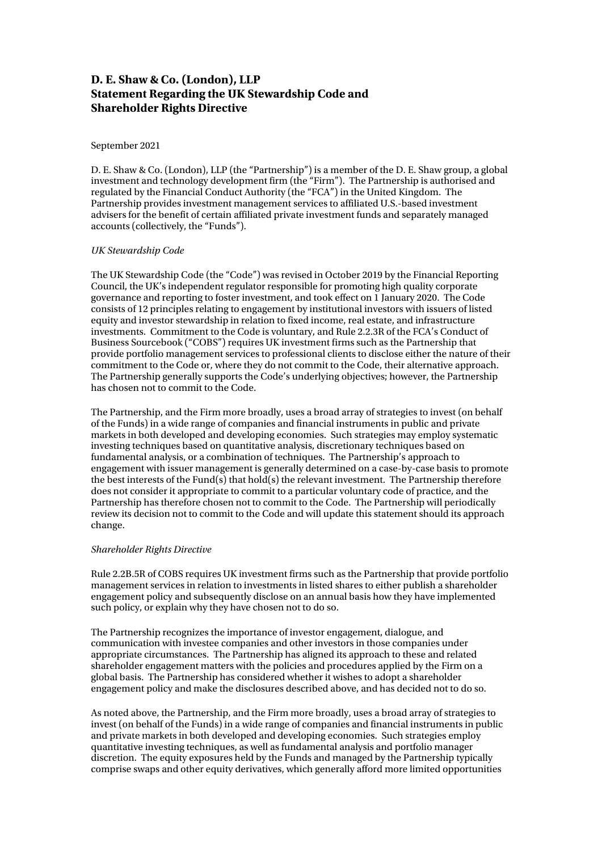## **D. E. Shaw & Co. (London), LLP Statement Regarding the UK Stewardship Code and Shareholder Rights Directive**

## September 2021

D. E. Shaw & Co. (London), LLP (the "Partnership") is a member of the D. E. Shaw group, a global investment and technology development firm (the "Firm"). The Partnership is authorised and regulated by the Financial Conduct Authority (the "FCA") in the United Kingdom. The Partnership provides investment management services to affiliated U.S.-based investment advisers for the benefit of certain affiliated private investment funds and separately managed accounts (collectively, the "Funds").

## *UK Stewardship Code*

The UK Stewardship Code (the "Code") was revised in October 2019 by the Financial Reporting Council, the UK's independent regulator responsible for promoting high quality corporate governance and reporting to foster investment, and took effect on 1 January 2020. The Code consists of 12 principles relating to engagement by institutional investors with issuers of listed equity and investor stewardship in relation to fixed income, real estate, and infrastructure investments. Commitment to the Code is voluntary, and Rule 2.2.3R of the FCA's Conduct of Business Sourcebook ("COBS") requires UK investment firms such as the Partnership that provide portfolio management services to professional clients to disclose either the nature of their commitment to the Code or, where they do not commit to the Code, their alternative approach. The Partnership generally supports the Code's underlying objectives; however, the Partnership has chosen not to commit to the Code.

The Partnership, and the Firm more broadly, uses a broad array of strategies to invest (on behalf of the Funds) in a wide range of companies and financial instruments in public and private markets in both developed and developing economies. Such strategies may employ systematic investing techniques based on quantitative analysis, discretionary techniques based on fundamental analysis, or a combination of techniques. The Partnership's approach to engagement with issuer management is generally determined on a case-by-case basis to promote the best interests of the Fund(s) that hold(s) the relevant investment. The Partnership therefore does not consider it appropriate to commit to a particular voluntary code of practice, and the Partnership has therefore chosen not to commit to the Code. The Partnership will periodically review its decision not to commit to the Code and will update this statement should its approach change.

## *Shareholder Rights Directive*

Rule 2.2B.5R of COBS requires UK investment firms such as the Partnership that provide portfolio management services in relation to investments in listed shares to either publish a shareholder engagement policy and subsequently disclose on an annual basis how they have implemented such policy, or explain why they have chosen not to do so.

The Partnership recognizes the importance of investor engagement, dialogue, and communication with investee companies and other investors in those companies under appropriate circumstances. The Partnership has aligned its approach to these and related shareholder engagement matters with the policies and procedures applied by the Firm on a global basis. The Partnership has considered whether it wishes to adopt a shareholder engagement policy and make the disclosures described above, and has decided not to do so.

As noted above, the Partnership, and the Firm more broadly, uses a broad array of strategies to invest (on behalf of the Funds) in a wide range of companies and financial instruments in public and private markets in both developed and developing economies. Such strategies employ quantitative investing techniques, as well as fundamental analysis and portfolio manager discretion. The equity exposures held by the Funds and managed by the Partnership typically comprise swaps and other equity derivatives, which generally afford more limited opportunities